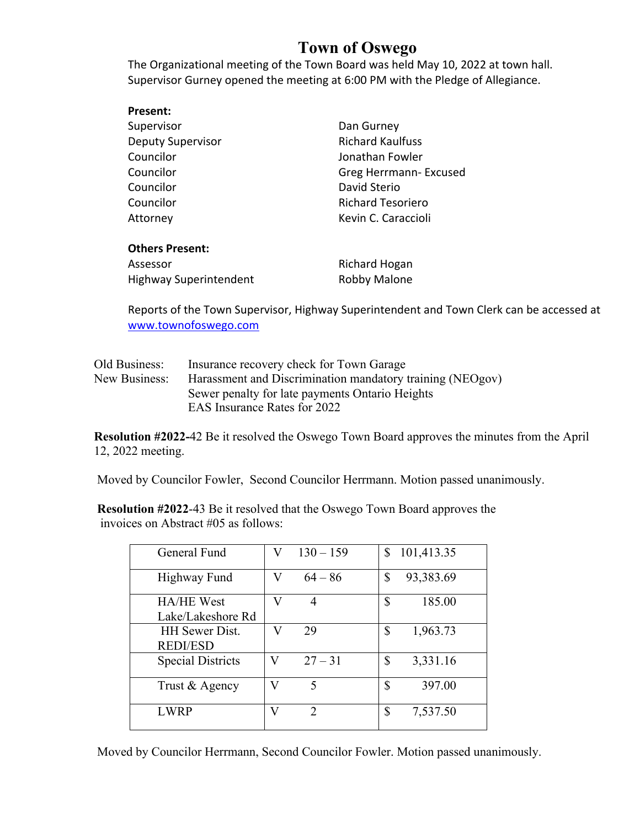## **Town of Oswego**

The Organizational meeting of the Town Board was held May 10, 2022 at town hall. Supervisor Gurney opened the meeting at 6:00 PM with the Pledge of Allegiance.

| Present:                      |                          |  |
|-------------------------------|--------------------------|--|
| Supervisor                    | Dan Gurney               |  |
| <b>Deputy Supervisor</b>      | <b>Richard Kaulfuss</b>  |  |
| Councilor                     | Jonathan Fowler          |  |
| Councilor                     | Greg Herrmann- Excused   |  |
| Councilor                     | David Sterio             |  |
| Councilor                     | <b>Richard Tesoriero</b> |  |
| Attorney                      | Kevin C. Caraccioli      |  |
|                               |                          |  |
| <b>Others Present:</b>        |                          |  |
| Assessor                      | Richard Hogan            |  |
| <b>Highway Superintendent</b> | Robby Malone             |  |
|                               |                          |  |

Reports of the Town Supervisor, Highway Superintendent and Town Clerk can be accessed at www.townofoswego.com

| Old Business: | Insurance recovery check for Town Garage                  |
|---------------|-----------------------------------------------------------|
| New Business: | Harassment and Discrimination mandatory training (NEOgov) |
|               | Sewer penalty for late payments Ontario Heights           |
|               | EAS Insurance Rates for 2022                              |

**Resolution #2022-**42 Be it resolved the Oswego Town Board approves the minutes from the April 12, 2022 meeting.

Moved by Councilor Fowler, Second Councilor Herrmann. Motion passed unanimously.

**Resolution #2022**-43 Be it resolved that the Oswego Town Board approves the invoices on Abstract #05 as follows:

| General Fund             | V | $130 - 159$   | 101,413.35<br>S |
|--------------------------|---|---------------|-----------------|
| Highway Fund             |   | $64 - 86$     | \$<br>93,383.69 |
| HA/HE West               | V | 4             | \$<br>185.00    |
| Lake/Lakeshore Rd        |   |               |                 |
| <b>HH</b> Sewer Dist.    | V | 29            | \$<br>1,963.73  |
| <b>REDI/ESD</b>          |   |               |                 |
| <b>Special Districts</b> | V | $27 - 31$     | \$<br>3,331.16  |
| Trust & Agency           | V | 5             | \$<br>397.00    |
| <b>LWRP</b>              | V | $\mathcal{D}$ | \$<br>7,537.50  |

Moved by Councilor Herrmann, Second Councilor Fowler. Motion passed unanimously.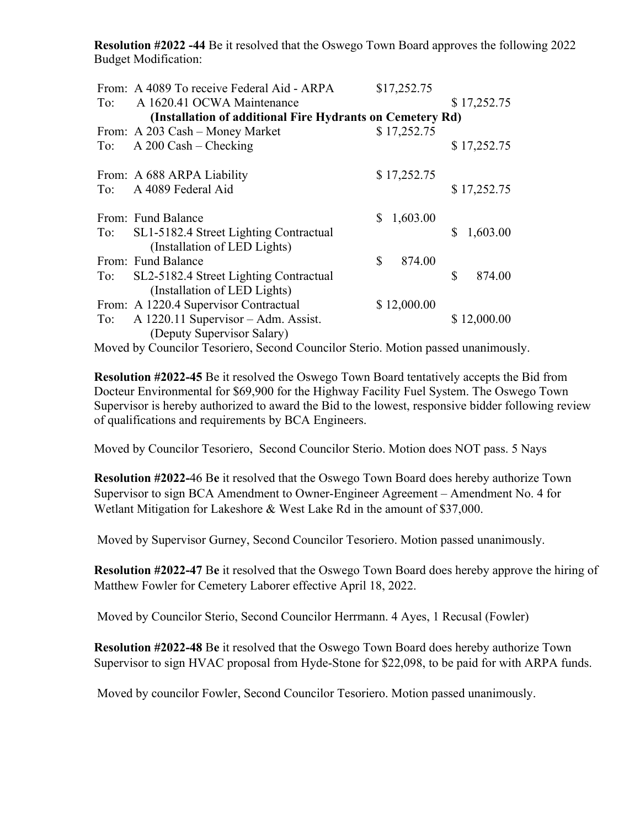**Resolution #2022 -44** Be it resolved that the Oswego Town Board approves the following 2022 Budget Modification:

|                                                           | From: A 4089 To receive Federal Aid - ARPA | \$17,252.75    |                |  |  |  |
|-----------------------------------------------------------|--------------------------------------------|----------------|----------------|--|--|--|
| To:                                                       | A 1620.41 OCWA Maintenance                 |                | \$17,252.75    |  |  |  |
| (Installation of additional Fire Hydrants on Cemetery Rd) |                                            |                |                |  |  |  |
|                                                           | From: A 203 Cash - Money Market            | \$17,252.75    |                |  |  |  |
| To:                                                       | $A$ 200 Cash – Checking                    |                | \$17,252.75    |  |  |  |
|                                                           |                                            |                |                |  |  |  |
|                                                           | From: A 688 ARPA Liability                 | \$17,252.75    |                |  |  |  |
|                                                           | To: A 4089 Federal Aid                     |                | \$17,252.75    |  |  |  |
|                                                           | From: Fund Balance                         | 1,603.00<br>S. |                |  |  |  |
| To:                                                       | SL1-5182.4 Street Lighting Contractual     |                | \$<br>1,603.00 |  |  |  |
|                                                           | (Installation of LED Lights)               |                |                |  |  |  |
|                                                           | From: Fund Balance                         | \$<br>874.00   |                |  |  |  |
| To:                                                       | SL2-5182.4 Street Lighting Contractual     |                | \$<br>874.00   |  |  |  |
|                                                           | (Installation of LED Lights)               |                |                |  |  |  |
|                                                           | From: A 1220.4 Supervisor Contractual      | \$12,000.00    |                |  |  |  |
| To:                                                       | A 1220.11 Supervisor - Adm. Assist.        |                | \$12,000.00    |  |  |  |
|                                                           | (Deputy Supervisor Salary)                 |                |                |  |  |  |

Moved by Councilor Tesoriero, Second Councilor Sterio. Motion passed unanimously.

**Resolution #2022-45** Be it resolved the Oswego Town Board tentatively accepts the Bid from Docteur Environmental for \$69,900 for the Highway Facility Fuel System. The Oswego Town Supervisor is hereby authorized to award the Bid to the lowest, responsive bidder following review of qualifications and requirements by BCA Engineers.

Moved by Councilor Tesoriero, Second Councilor Sterio. Motion does NOT pass. 5 Nays

**Resolution #2022-**46 B**e** it resolved that the Oswego Town Board does hereby authorize Town Supervisor to sign BCA Amendment to Owner-Engineer Agreement – Amendment No. 4 for Wetlant Mitigation for Lakeshore & West Lake Rd in the amount of \$37,000.

Moved by Supervisor Gurney, Second Councilor Tesoriero. Motion passed unanimously.

**Resolution #2022-47** B**e** it resolved that the Oswego Town Board does hereby approve the hiring of Matthew Fowler for Cemetery Laborer effective April 18, 2022.

Moved by Councilor Sterio, Second Councilor Herrmann. 4 Ayes, 1 Recusal (Fowler)

**Resolution #2022-48** B**e** it resolved that the Oswego Town Board does hereby authorize Town Supervisor to sign HVAC proposal from Hyde-Stone for \$22,098, to be paid for with ARPA funds.

Moved by councilor Fowler, Second Councilor Tesoriero. Motion passed unanimously.